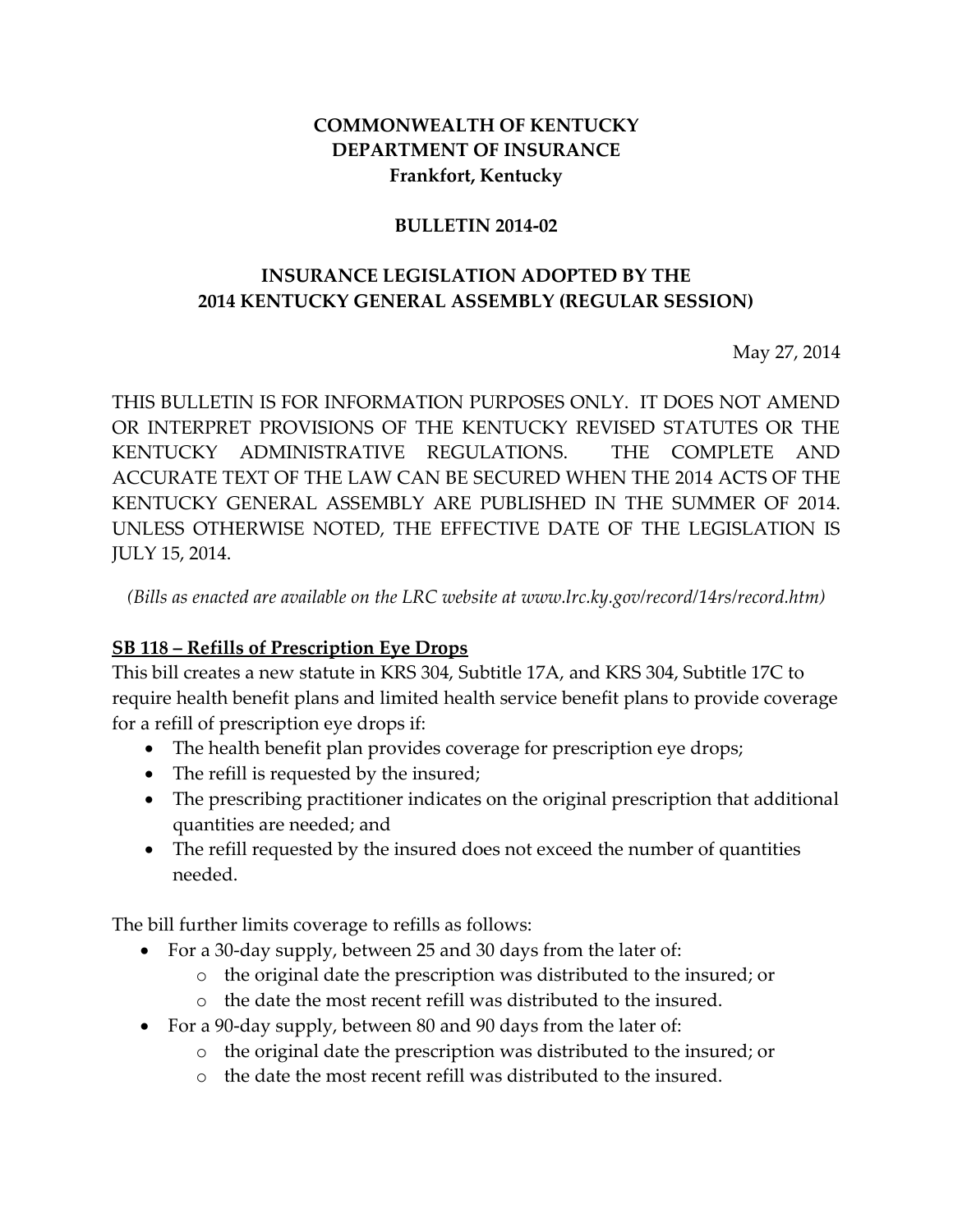#### **COMMONWEALTH OF KENTUCKY DEPARTMENT OF INSURANCE Frankfort, Kentucky**

#### **BULLETIN 2014-02**

### **INSURANCE LEGISLATION ADOPTED BY THE 2014 KENTUCKY GENERAL ASSEMBLY (REGULAR SESSION)**

May 27, 2014

THIS BULLETIN IS FOR INFORMATION PURPOSES ONLY. IT DOES NOT AMEND OR INTERPRET PROVISIONS OF THE KENTUCKY REVISED STATUTES OR THE KENTUCKY ADMINISTRATIVE REGULATIONS. THE COMPLETE AND ACCURATE TEXT OF THE LAW CAN BE SECURED WHEN THE 2014 ACTS OF THE KENTUCKY GENERAL ASSEMBLY ARE PUBLISHED IN THE SUMMER OF 2014. UNLESS OTHERWISE NOTED, THE EFFECTIVE DATE OF THE LEGISLATION IS JULY 15, 2014.

*(Bills as enacted are available on the LRC website at www.lrc.ky.gov/record/14rs/record.htm)*

#### **SB 118 – Refills of Prescription Eye Drops**

This bill creates a new statute in KRS 304, Subtitle 17A, and KRS 304, Subtitle 17C to require health benefit plans and limited health service benefit plans to provide coverage for a refill of prescription eye drops if:

- The health benefit plan provides coverage for prescription eye drops;
- The refill is requested by the insured;
- The prescribing practitioner indicates on the original prescription that additional quantities are needed; and
- The refill requested by the insured does not exceed the number of quantities needed.

The bill further limits coverage to refills as follows:

- For a 30-day supply, between 25 and 30 days from the later of:
	- o the original date the prescription was distributed to the insured; or
	- o the date the most recent refill was distributed to the insured.
- For a 90-day supply, between 80 and 90 days from the later of:
	- o the original date the prescription was distributed to the insured; or
	- o the date the most recent refill was distributed to the insured.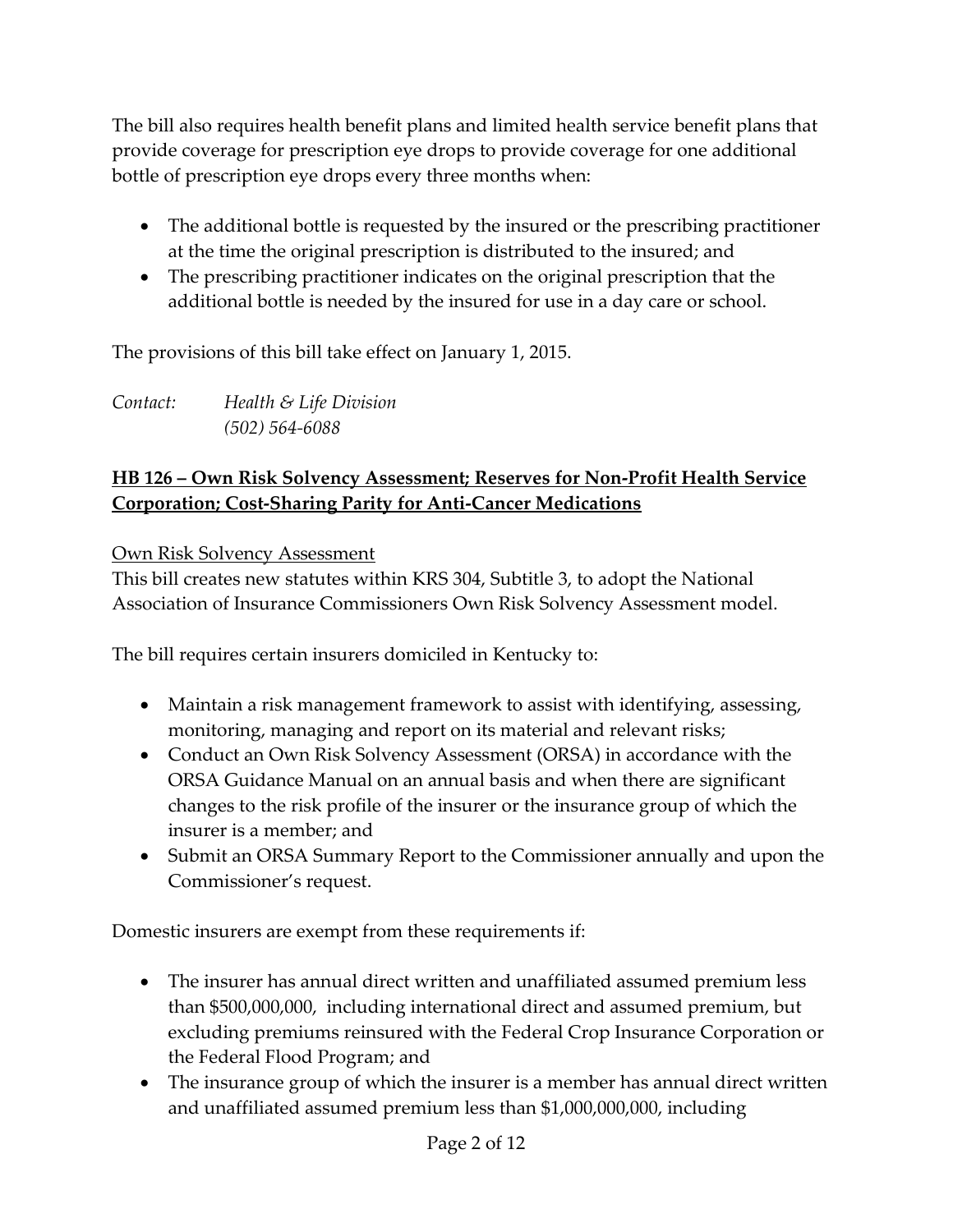The bill also requires health benefit plans and limited health service benefit plans that provide coverage for prescription eye drops to provide coverage for one additional bottle of prescription eye drops every three months when:

- The additional bottle is requested by the insured or the prescribing practitioner at the time the original prescription is distributed to the insured; and
- The prescribing practitioner indicates on the original prescription that the additional bottle is needed by the insured for use in a day care or school.

The provisions of this bill take effect on January 1, 2015.

*Contact: Health & Life Division (502) 564-6088*

# **HB 126 – Own Risk Solvency Assessment; Reserves for Non-Profit Health Service Corporation; Cost-Sharing Parity for Anti-Cancer Medications**

Own Risk Solvency Assessment

This bill creates new statutes within KRS 304, Subtitle 3, to adopt the National Association of Insurance Commissioners Own Risk Solvency Assessment model.

The bill requires certain insurers domiciled in Kentucky to:

- Maintain a risk management framework to assist with identifying, assessing, monitoring, managing and report on its material and relevant risks;
- Conduct an Own Risk Solvency Assessment (ORSA) in accordance with the ORSA Guidance Manual on an annual basis and when there are significant changes to the risk profile of the insurer or the insurance group of which the insurer is a member; and
- Submit an ORSA Summary Report to the Commissioner annually and upon the Commissioner's request.

Domestic insurers are exempt from these requirements if:

- The insurer has annual direct written and unaffiliated assumed premium less than \$500,000,000, including international direct and assumed premium, but excluding premiums reinsured with the Federal Crop Insurance Corporation or the Federal Flood Program; and
- The insurance group of which the insurer is a member has annual direct written and unaffiliated assumed premium less than \$1,000,000,000, including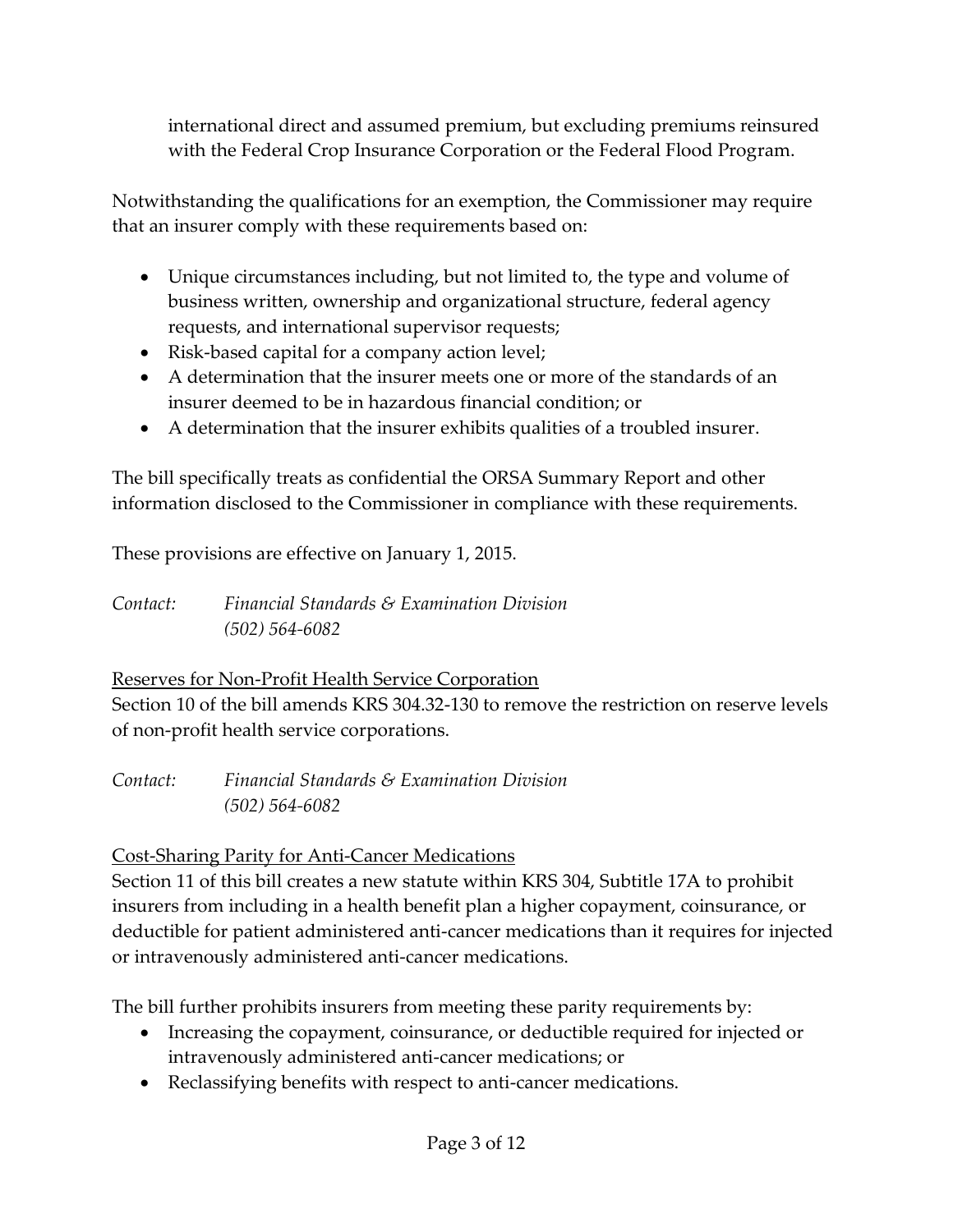international direct and assumed premium, but excluding premiums reinsured with the Federal Crop Insurance Corporation or the Federal Flood Program.

Notwithstanding the qualifications for an exemption, the Commissioner may require that an insurer comply with these requirements based on:

- Unique circumstances including, but not limited to, the type and volume of business written, ownership and organizational structure, federal agency requests, and international supervisor requests;
- Risk-based capital for a company action level;
- A determination that the insurer meets one or more of the standards of an insurer deemed to be in hazardous financial condition; or
- A determination that the insurer exhibits qualities of a troubled insurer.

The bill specifically treats as confidential the ORSA Summary Report and other information disclosed to the Commissioner in compliance with these requirements.

These provisions are effective on January 1, 2015.

*Contact: Financial Standards & Examination Division (502) 564-6082*

Reserves for Non-Profit Health Service Corporation Section 10 of the bill amends KRS 304.32-130 to remove the restriction on reserve levels of non-profit health service corporations.

*Contact: Financial Standards & Examination Division (502) 564-6082*

## Cost-Sharing Parity for Anti-Cancer Medications

Section 11 of this bill creates a new statute within KRS 304, Subtitle 17A to prohibit insurers from including in a health benefit plan a higher copayment, coinsurance, or deductible for patient administered anti-cancer medications than it requires for injected or intravenously administered anti-cancer medications.

The bill further prohibits insurers from meeting these parity requirements by:

- Increasing the copayment, coinsurance, or deductible required for injected or intravenously administered anti-cancer medications; or
- Reclassifying benefits with respect to anti-cancer medications.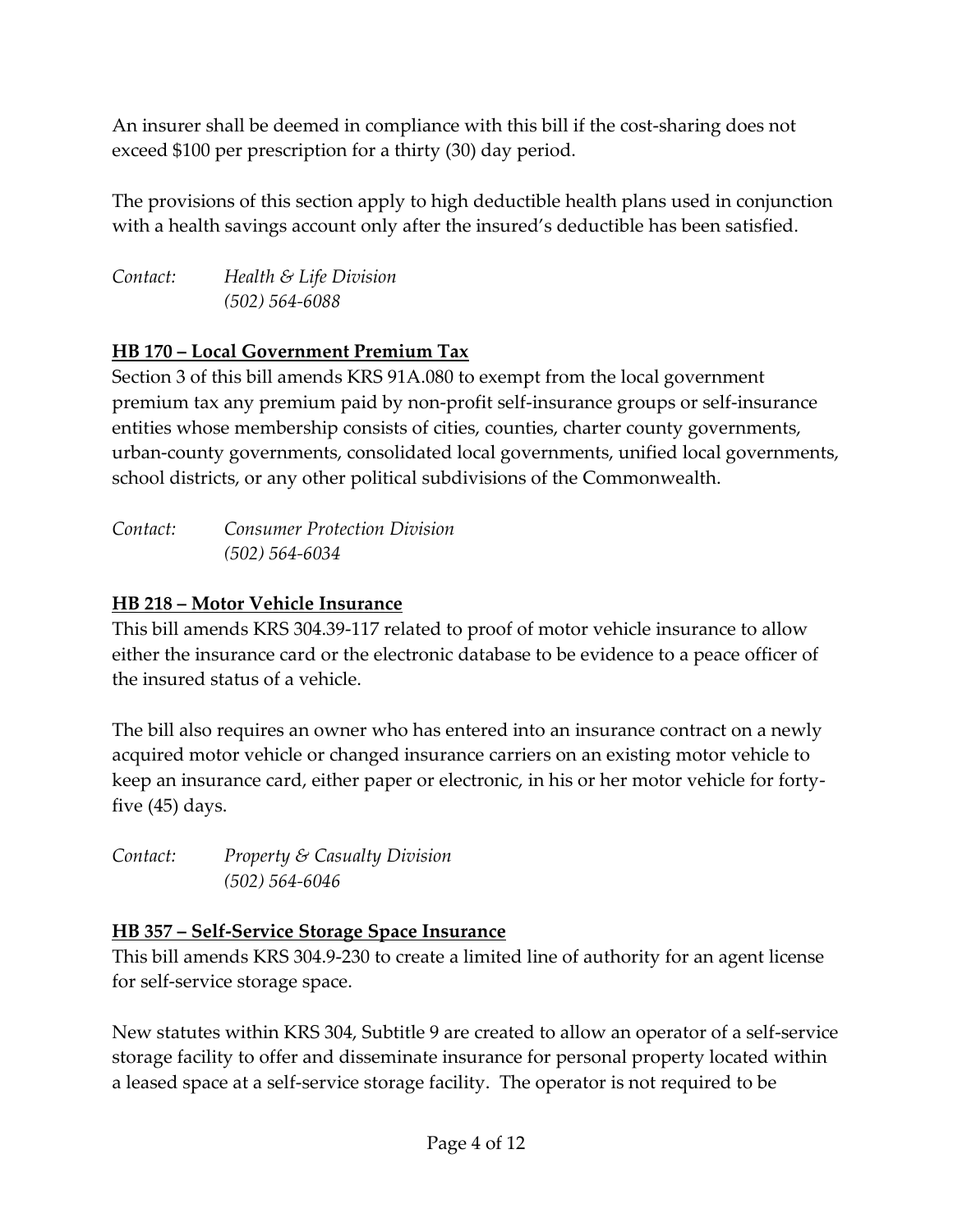An insurer shall be deemed in compliance with this bill if the cost-sharing does not exceed \$100 per prescription for a thirty (30) day period.

The provisions of this section apply to high deductible health plans used in conjunction with a health savings account only after the insured's deductible has been satisfied.

*Contact: Health & Life Division (502) 564-6088*

# **HB 170 – Local Government Premium Tax**

Section 3 of this bill amends KRS 91A.080 to exempt from the local government premium tax any premium paid by non-profit self-insurance groups or self-insurance entities whose membership consists of cities, counties, charter county governments, urban-county governments, consolidated local governments, unified local governments, school districts, or any other political subdivisions of the Commonwealth.

| Contact: | <b>Consumer Protection Division</b> |
|----------|-------------------------------------|
|          | $(502) 564 - 6034$                  |

## **HB 218 – Motor Vehicle Insurance**

This bill amends KRS 304.39-117 related to proof of motor vehicle insurance to allow either the insurance card or the electronic database to be evidence to a peace officer of the insured status of a vehicle.

The bill also requires an owner who has entered into an insurance contract on a newly acquired motor vehicle or changed insurance carriers on an existing motor vehicle to keep an insurance card, either paper or electronic, in his or her motor vehicle for fortyfive (45) days.

*Contact: Property & Casualty Division (502) 564-6046*

## **HB 357 – Self-Service Storage Space Insurance**

This bill amends KRS 304.9-230 to create a limited line of authority for an agent license for self-service storage space.

New statutes within KRS 304, Subtitle 9 are created to allow an operator of a self-service storage facility to offer and disseminate insurance for personal property located within a leased space at a self-service storage facility. The operator is not required to be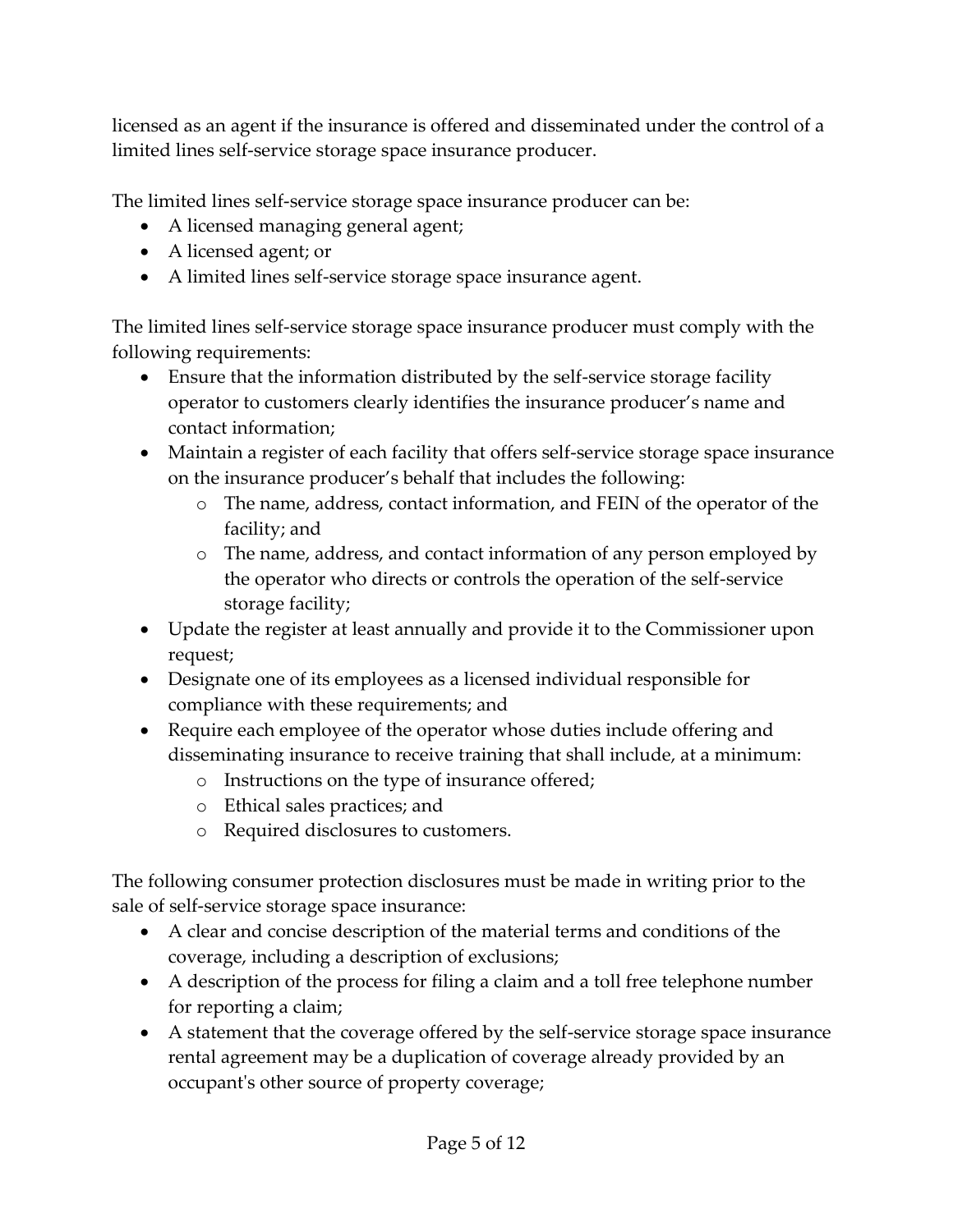licensed as an agent if the insurance is offered and disseminated under the control of a limited lines self-service storage space insurance producer.

The limited lines self-service storage space insurance producer can be:

- A licensed managing general agent;
- A licensed agent; or
- A limited lines self-service storage space insurance agent.

The limited lines self-service storage space insurance producer must comply with the following requirements:

- Ensure that the information distributed by the self-service storage facility operator to customers clearly identifies the insurance producer's name and contact information;
- Maintain a register of each facility that offers self-service storage space insurance on the insurance producer's behalf that includes the following:
	- o The name, address, contact information, and FEIN of the operator of the facility; and
	- o The name, address, and contact information of any person employed by the operator who directs or controls the operation of the self-service storage facility;
- Update the register at least annually and provide it to the Commissioner upon request;
- Designate one of its employees as a licensed individual responsible for compliance with these requirements; and
- Require each employee of the operator whose duties include offering and disseminating insurance to receive training that shall include, at a minimum:
	- o Instructions on the type of insurance offered;
	- o Ethical sales practices; and
	- o Required disclosures to customers.

The following consumer protection disclosures must be made in writing prior to the sale of self-service storage space insurance:

- A clear and concise description of the material terms and conditions of the coverage, including a description of exclusions;
- A description of the process for filing a claim and a toll free telephone number for reporting a claim;
- A statement that the coverage offered by the self-service storage space insurance rental agreement may be a duplication of coverage already provided by an occupant's other source of property coverage;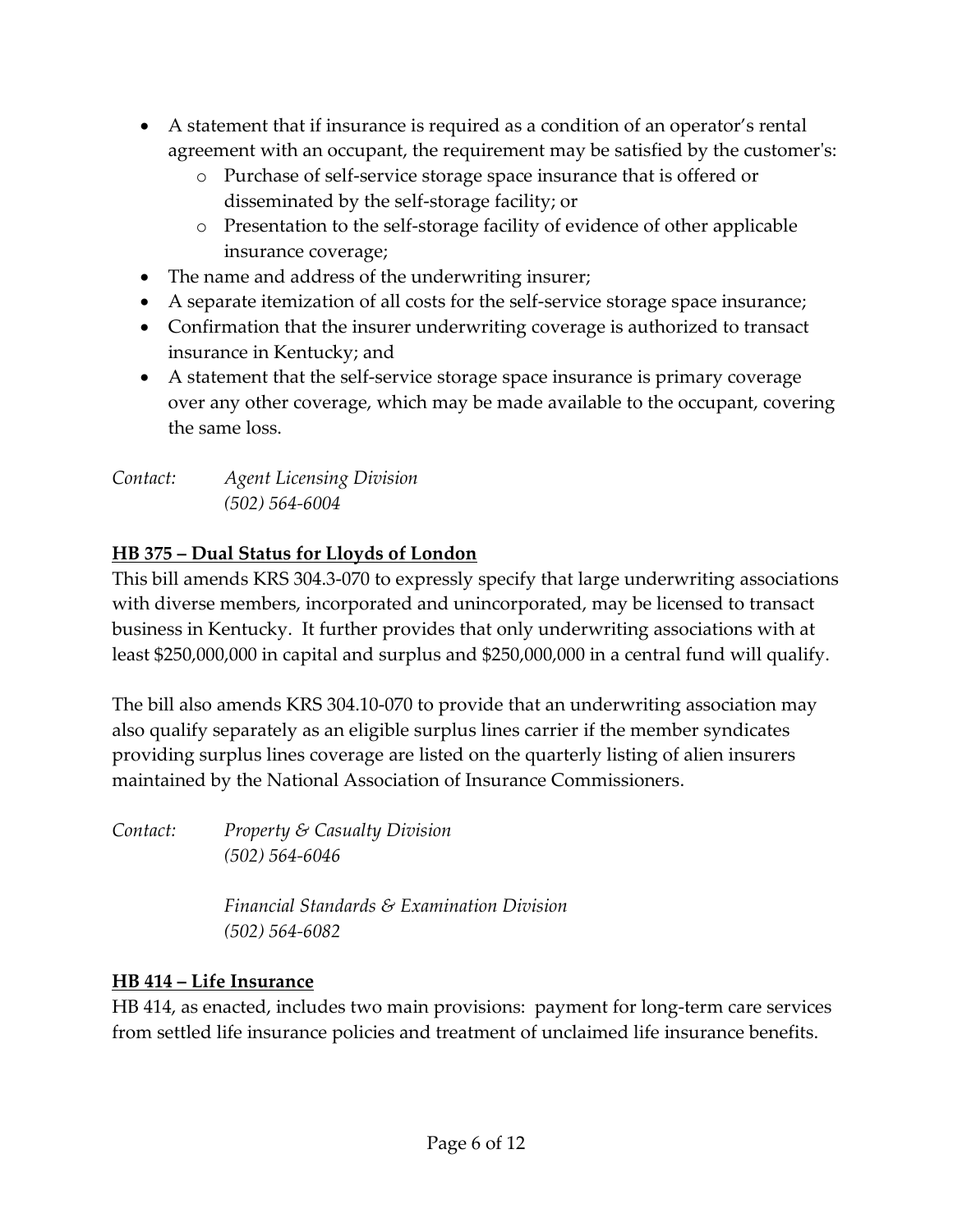- A statement that if insurance is required as a condition of an operator's rental agreement with an occupant, the requirement may be satisfied by the customer's:
	- o Purchase of self-service storage space insurance that is offered or disseminated by the self-storage facility; or
	- o Presentation to the self-storage facility of evidence of other applicable insurance coverage;
- The name and address of the underwriting insurer;
- A separate itemization of all costs for the self-service storage space insurance;
- Confirmation that the insurer underwriting coverage is authorized to transact insurance in Kentucky; and
- A statement that the self-service storage space insurance is primary coverage over any other coverage, which may be made available to the occupant, covering the same loss.

*Contact: Agent Licensing Division (502) 564-6004*

# **HB 375 – Dual Status for Lloyds of London**

This bill amends KRS 304.3-070 to expressly specify that large underwriting associations with diverse members, incorporated and unincorporated, may be licensed to transact business in Kentucky. It further provides that only underwriting associations with at least \$250,000,000 in capital and surplus and \$250,000,000 in a central fund will qualify.

The bill also amends KRS 304.10-070 to provide that an underwriting association may also qualify separately as an eligible surplus lines carrier if the member syndicates providing surplus lines coverage are listed on the quarterly listing of alien insurers maintained by the National Association of Insurance Commissioners.

*Contact: Property & Casualty Division (502) 564-6046*

> *Financial Standards & Examination Division (502) 564-6082*

# **HB 414 – Life Insurance**

HB 414, as enacted, includes two main provisions: payment for long-term care services from settled life insurance policies and treatment of unclaimed life insurance benefits.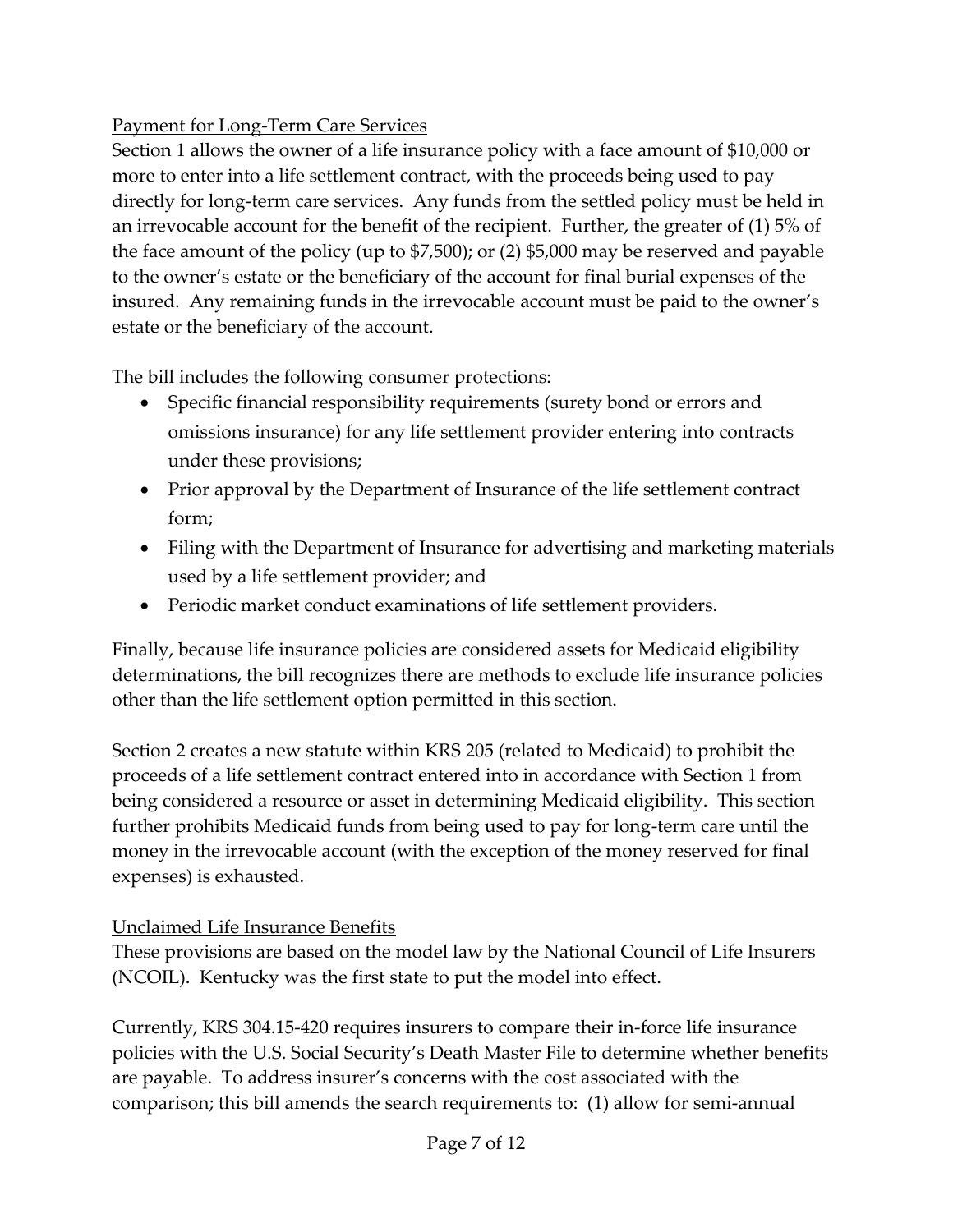## Payment for Long-Term Care Services

Section 1 allows the owner of a life insurance policy with a face amount of \$10,000 or more to enter into a life settlement contract, with the proceeds being used to pay directly for long-term care services. Any funds from the settled policy must be held in an irrevocable account for the benefit of the recipient. Further, the greater of (1) 5% of the face amount of the policy (up to \$7,500); or (2) \$5,000 may be reserved and payable to the owner's estate or the beneficiary of the account for final burial expenses of the insured. Any remaining funds in the irrevocable account must be paid to the owner's estate or the beneficiary of the account.

The bill includes the following consumer protections:

- Specific financial responsibility requirements (surety bond or errors and omissions insurance) for any life settlement provider entering into contracts under these provisions;
- Prior approval by the Department of Insurance of the life settlement contract form;
- Filing with the Department of Insurance for advertising and marketing materials used by a life settlement provider; and
- Periodic market conduct examinations of life settlement providers.

Finally, because life insurance policies are considered assets for Medicaid eligibility determinations, the bill recognizes there are methods to exclude life insurance policies other than the life settlement option permitted in this section.

Section 2 creates a new statute within KRS 205 (related to Medicaid) to prohibit the proceeds of a life settlement contract entered into in accordance with Section 1 from being considered a resource or asset in determining Medicaid eligibility. This section further prohibits Medicaid funds from being used to pay for long-term care until the money in the irrevocable account (with the exception of the money reserved for final expenses) is exhausted.

#### Unclaimed Life Insurance Benefits

These provisions are based on the model law by the National Council of Life Insurers (NCOIL). Kentucky was the first state to put the model into effect.

Currently, KRS 304.15-420 requires insurers to compare their in-force life insurance policies with the U.S. Social Security's Death Master File to determine whether benefits are payable. To address insurer's concerns with the cost associated with the comparison; this bill amends the search requirements to: (1) allow for semi-annual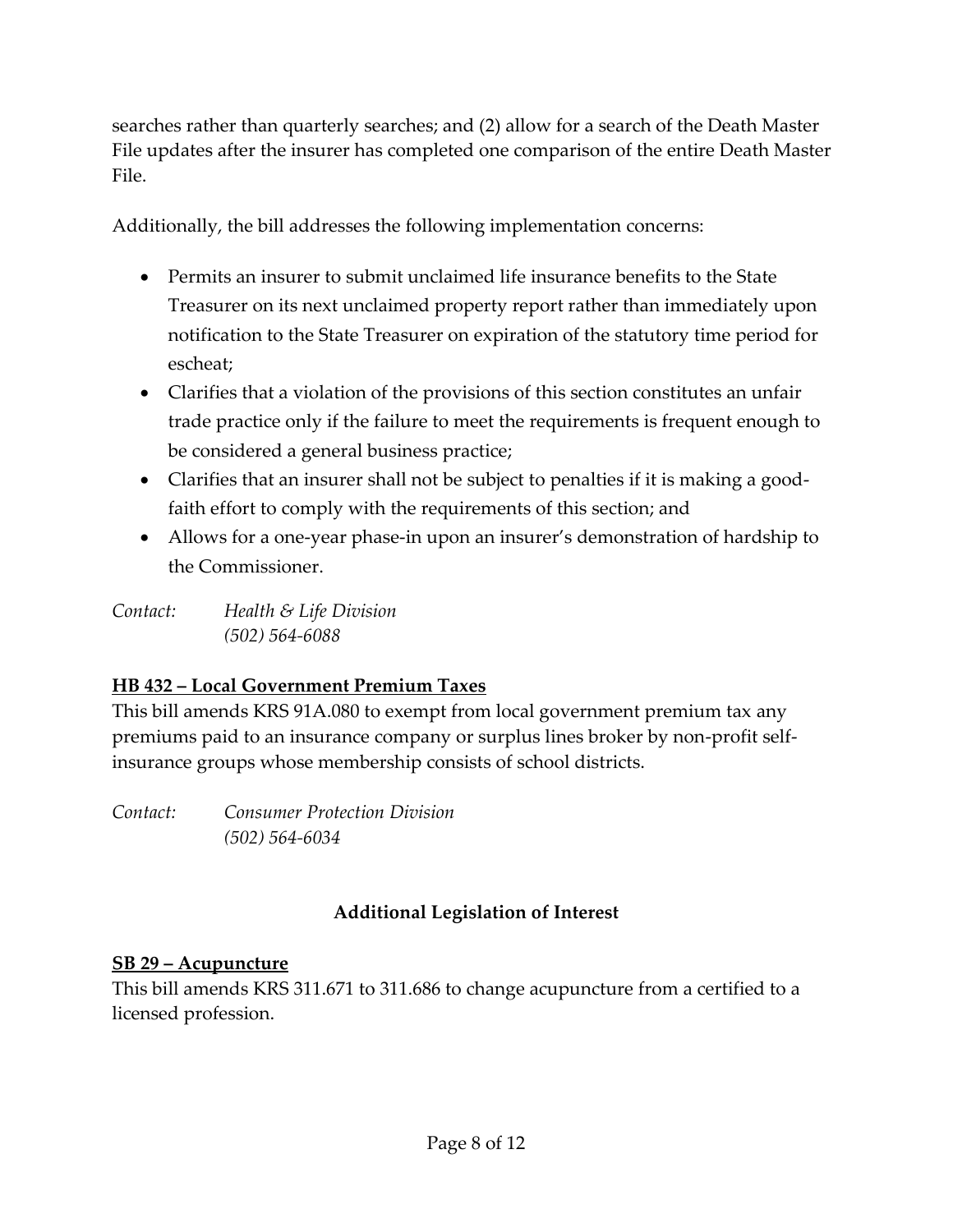searches rather than quarterly searches; and (2) allow for a search of the Death Master File updates after the insurer has completed one comparison of the entire Death Master File.

Additionally, the bill addresses the following implementation concerns:

- Permits an insurer to submit unclaimed life insurance benefits to the State Treasurer on its next unclaimed property report rather than immediately upon notification to the State Treasurer on expiration of the statutory time period for escheat;
- Clarifies that a violation of the provisions of this section constitutes an unfair trade practice only if the failure to meet the requirements is frequent enough to be considered a general business practice;
- Clarifies that an insurer shall not be subject to penalties if it is making a goodfaith effort to comply with the requirements of this section; and
- Allows for a one-year phase-in upon an insurer's demonstration of hardship to the Commissioner.

*Contact: Health & Life Division (502) 564-6088*

## **HB 432 – Local Government Premium Taxes**

This bill amends KRS 91A.080 to exempt from local government premium tax any premiums paid to an insurance company or surplus lines broker by non-profit selfinsurance groups whose membership consists of school districts.

*Contact: Consumer Protection Division (502) 564-6034*

# **Additional Legislation of Interest**

#### **SB 29 – Acupuncture**

This bill amends KRS 311.671 to 311.686 to change acupuncture from a certified to a licensed profession.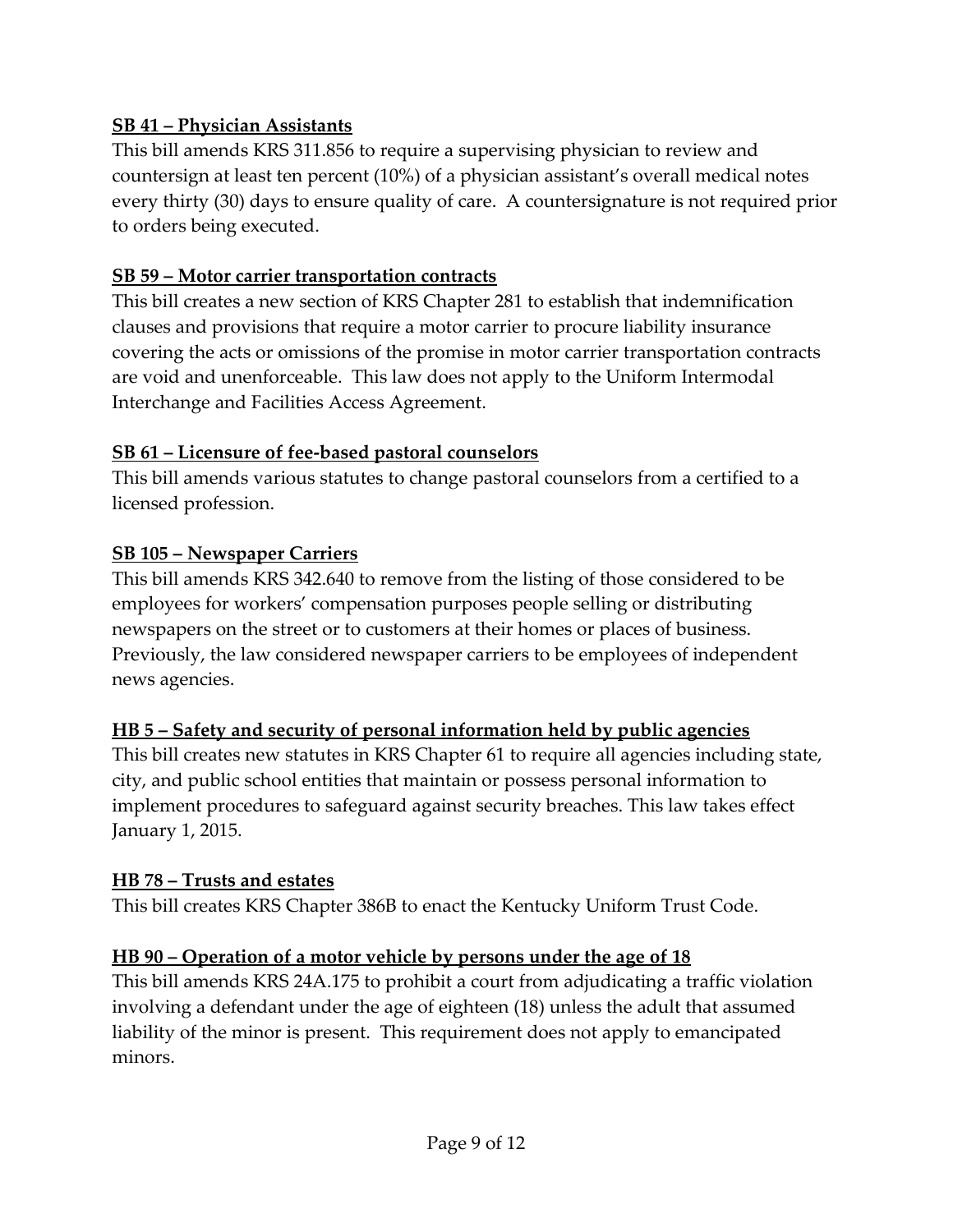#### **SB 41 – Physician Assistants**

This bill amends KRS 311.856 to require a supervising physician to review and countersign at least ten percent (10%) of a physician assistant's overall medical notes every thirty (30) days to ensure quality of care. A countersignature is not required prior to orders being executed.

#### **SB 59 – Motor carrier transportation contracts**

This bill creates a new section of KRS Chapter 281 to establish that indemnification clauses and provisions that require a motor carrier to procure liability insurance covering the acts or omissions of the promise in motor carrier transportation contracts are void and unenforceable. This law does not apply to the Uniform Intermodal Interchange and Facilities Access Agreement.

### **SB 61 – Licensure of fee-based pastoral counselors**

This bill amends various statutes to change pastoral counselors from a certified to a licensed profession.

### **SB 105 – Newspaper Carriers**

This bill amends KRS 342.640 to remove from the listing of those considered to be employees for workers' compensation purposes people selling or distributing newspapers on the street or to customers at their homes or places of business. Previously, the law considered newspaper carriers to be employees of independent news agencies.

## **HB 5 – Safety and security of personal information held by public agencies**

This bill creates new statutes in KRS Chapter 61 to require all agencies including state, city, and public school entities that maintain or possess personal information to implement procedures to safeguard against security breaches. This law takes effect January 1, 2015.

#### **HB 78 – Trusts and estates**

This bill creates KRS Chapter 386B to enact the Kentucky Uniform Trust Code.

## **HB 90 – Operation of a motor vehicle by persons under the age of 18**

This bill amends KRS 24A.175 to prohibit a court from adjudicating a traffic violation involving a defendant under the age of eighteen (18) unless the adult that assumed liability of the minor is present. This requirement does not apply to emancipated minors.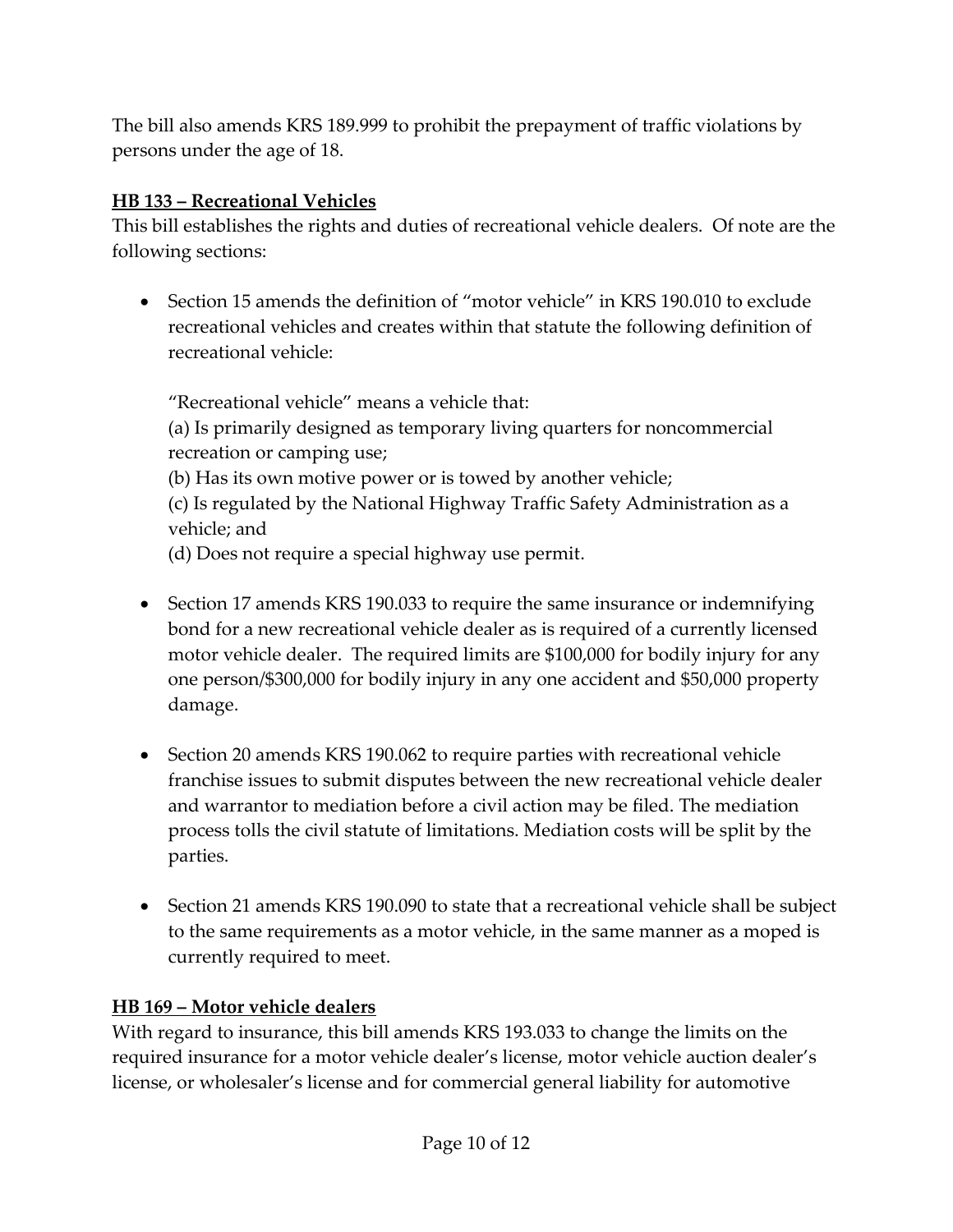The bill also amends KRS 189.999 to prohibit the prepayment of traffic violations by persons under the age of 18.

#### **HB 133 – Recreational Vehicles**

This bill establishes the rights and duties of recreational vehicle dealers. Of note are the following sections:

 Section 15 amends the definition of "motor vehicle" in KRS 190.010 to exclude recreational vehicles and creates within that statute the following definition of recreational vehicle:

"Recreational vehicle" means a vehicle that: (a) Is primarily designed as temporary living quarters for noncommercial recreation or camping use; (b) Has its own motive power or is towed by another vehicle; (c) Is regulated by the National Highway Traffic Safety Administration as a vehicle; and (d) Does not require a special highway use permit.

- Section 17 amends KRS 190.033 to require the same insurance or indemnifying bond for a new recreational vehicle dealer as is required of a currently licensed motor vehicle dealer. The required limits are \$100,000 for bodily injury for any one person/\$300,000 for bodily injury in any one accident and \$50,000 property damage.
- Section 20 amends KRS 190.062 to require parties with recreational vehicle franchise issues to submit disputes between the new recreational vehicle dealer and warrantor to mediation before a civil action may be filed. The mediation process tolls the civil statute of limitations. Mediation costs will be split by the parties.
- Section 21 amends KRS 190.090 to state that a recreational vehicle shall be subject to the same requirements as a motor vehicle, in the same manner as a moped is currently required to meet.

## **HB 169 – Motor vehicle dealers**

With regard to insurance, this bill amends KRS 193.033 to change the limits on the required insurance for a motor vehicle dealer's license, motor vehicle auction dealer's license, or wholesaler's license and for commercial general liability for automotive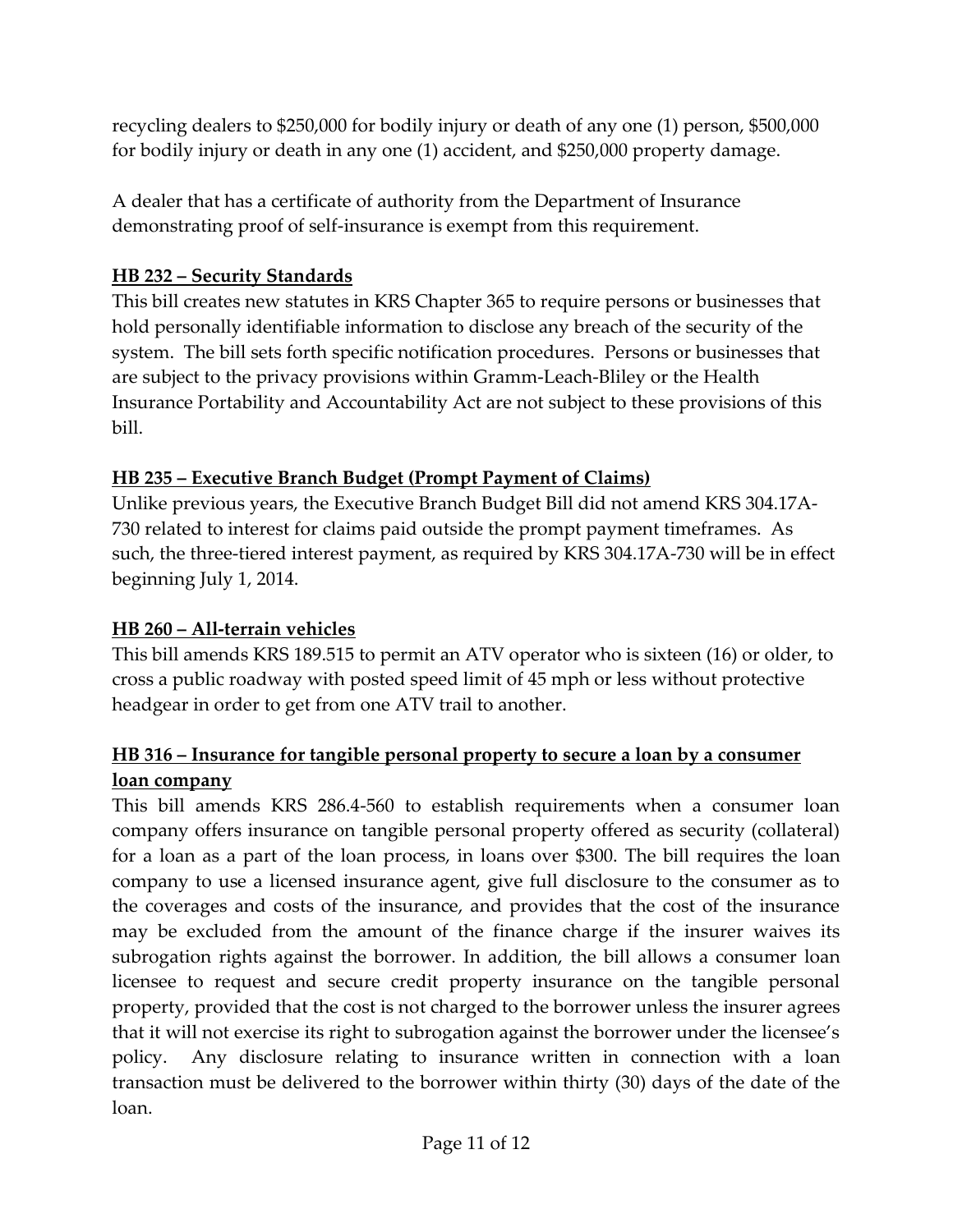recycling dealers to \$250,000 for bodily injury or death of any one (1) person, \$500,000 for bodily injury or death in any one (1) accident, and \$250,000 property damage.

A dealer that has a certificate of authority from the Department of Insurance demonstrating proof of self-insurance is exempt from this requirement.

#### **HB 232 – Security Standards**

This bill creates new statutes in KRS Chapter 365 to require persons or businesses that hold personally identifiable information to disclose any breach of the security of the system. The bill sets forth specific notification procedures. Persons or businesses that are subject to the privacy provisions within Gramm-Leach-Bliley or the Health Insurance Portability and Accountability Act are not subject to these provisions of this bill.

### **HB 235 – Executive Branch Budget (Prompt Payment of Claims)**

Unlike previous years, the Executive Branch Budget Bill did not amend KRS 304.17A-730 related to interest for claims paid outside the prompt payment timeframes. As such, the three-tiered interest payment, as required by KRS 304.17A-730 will be in effect beginning July 1, 2014.

## **HB 260 – All-terrain vehicles**

This bill amends KRS 189.515 to permit an ATV operator who is sixteen (16) or older, to cross a public roadway with posted speed limit of 45 mph or less without protective headgear in order to get from one ATV trail to another.

### **HB 316 – Insurance for tangible personal property to secure a loan by a consumer loan company**

This bill amends KRS 286.4-560 to establish requirements when a consumer loan company offers insurance on tangible personal property offered as security (collateral) for a loan as a part of the loan process, in loans over \$300. The bill requires the loan company to use a licensed insurance agent, give full disclosure to the consumer as to the coverages and costs of the insurance, and provides that the cost of the insurance may be excluded from the amount of the finance charge if the insurer waives its subrogation rights against the borrower. In addition, the bill allows a consumer loan licensee to request and secure credit property insurance on the tangible personal property, provided that the cost is not charged to the borrower unless the insurer agrees that it will not exercise its right to subrogation against the borrower under the licensee's policy. Any disclosure relating to insurance written in connection with a loan transaction must be delivered to the borrower within thirty (30) days of the date of the loan.